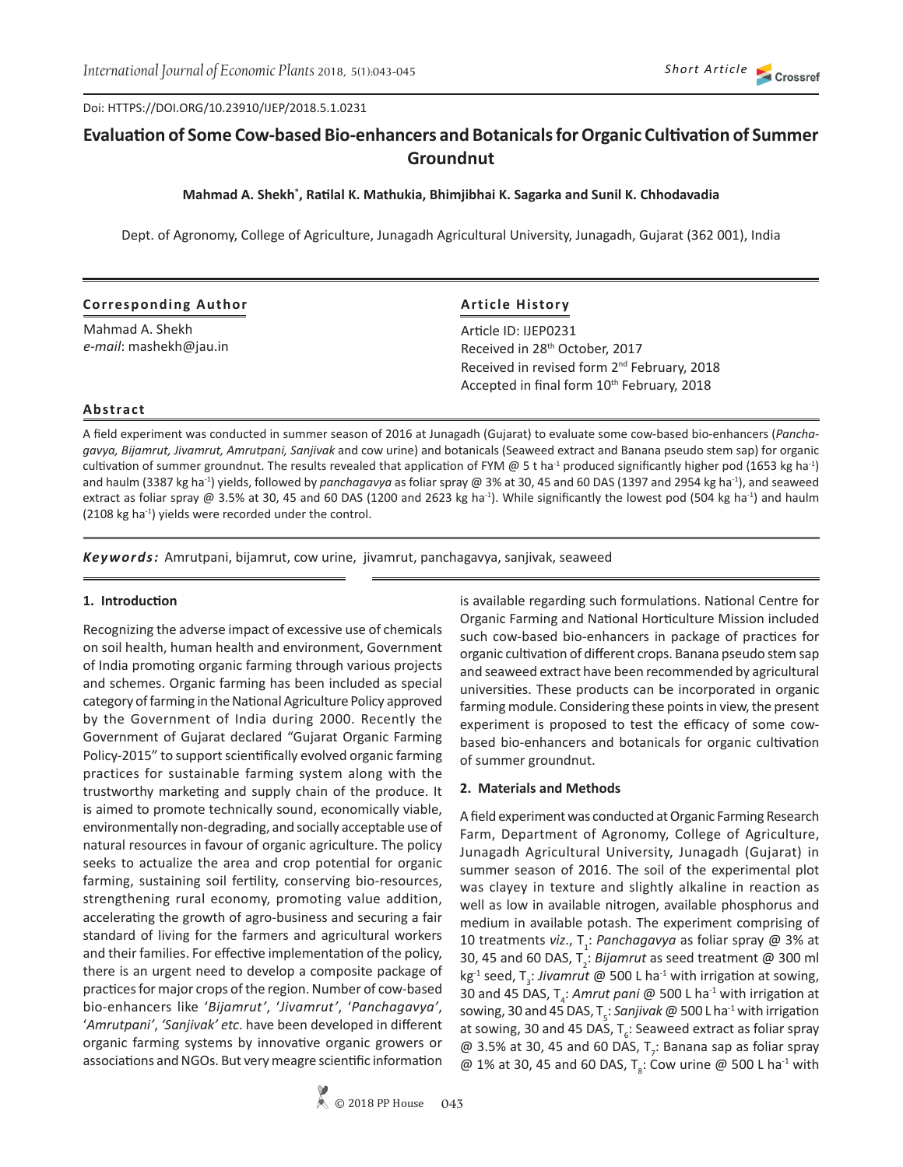Doi: HTTPS://DOI.ORG/10.23910/IJEP/2018.5.1.0231

# **Evaluation of Some Cow-based Bio-enhancers and Botanicals for Organic Cultivation of Summer Groundnut**

**Mahmad A. Shekh\* , Ratilal K. Mathukia, Bhimjibhai K. Sagarka and Sunil K. Chhodavadia**

Dept. of Agronomy, College of Agriculture, Junagadh Agricultural University, Junagadh, Gujarat (362 001), India

| <b>Corresponding Author</b> |  |
|-----------------------------|--|
|-----------------------------|--|

Mahmad A. Shekh *e-mail*: mashekh@jau.in **Article History** Article ID: IJEP0231 Received in 28<sup>th</sup> October, 2017 Received in revised form 2<sup>nd</sup> February, 2018 Accepted in final form 10<sup>th</sup> February, 2018

#### **Abstract**

A field experiment was conducted in summer season of 2016 at Junagadh (Gujarat) to evaluate some cow-based bio-enhancers (*Panchagavya, Bijamrut, Jivamrut, Amrutpani, Sanjivak* and cow urine) and botanicals (Seaweed extract and Banana pseudo stem sap) for organic cultivation of summer groundnut. The results revealed that application of FYM @ 5 t ha<sup>-1</sup> produced significantly higher pod (1653 kg ha<sup>-1</sup>) and haulm (3387 kg ha-1) yields, followed by *panchagavya* as foliar spray @ 3% at 30, 45 and 60 DAS (1397 and 2954 kg ha-1), and seaweed extract as foliar spray @ 3.5% at 30, 45 and 60 DAS (1200 and 2623 kg ha<sup>-1</sup>). While significantly the lowest pod (504 kg ha<sup>-1</sup>) and haulm (2108 kg ha<sup>-1</sup>) yields were recorded under the control.

*Keywords:* Amrutpani, bijamrut, cow urine, jivamrut, panchagavya, sanjivak, seaweed

#### **1. Introduction**

Recognizing the adverse impact of excessive use of chemicals on soil health, human health and environment, Government of India promoting organic farming through various projects and schemes. Organic farming has been included as special category of farming in the National Agriculture Policy approved by the Government of India during 2000. Recently the Government of Gujarat declared "Gujarat Organic Farming Policy-2015" to support scientifically evolved organic farming practices for sustainable farming system along with the trustworthy marketing and supply chain of the produce. It is aimed to promote technically sound, economically viable, environmentally non-degrading, and socially acceptable use of natural resources in favour of organic agriculture. The policy seeks to actualize the area and crop potential for organic farming, sustaining soil fertility, conserving bio-resources, strengthening rural economy, promoting value addition, accelerating the growth of agro-business and securing a fair standard of living for the farmers and agricultural workers and their families. For effective implementation of the policy, there is an urgent need to develop a composite package of practices for major crops of the region. Number of cow-based bio-enhancers like '*Bijamrut'*, '*Jivamrut'*, '*Panchagavya'*, '*Amrutpani'*, *'Sanjivak' etc*. have been developed in different organic farming systems by innovative organic growers or associations and NGOs. But very meagre scientific information

is available regarding such formulations. National Centre for Organic Farming and National Horticulture Mission included such cow-based bio-enhancers in package of practices for organic cultivation of different crops. Banana pseudo stem sap and seaweed extract have been recommended by agricultural universities. These products can be incorporated in organic farming module. Considering these points in view, the present experiment is proposed to test the efficacy of some cowbased bio-enhancers and botanicals for organic cultivation of summer groundnut.

# **2. Materials and Methods**

A field experiment was conducted at Organic Farming Research Farm, Department of Agronomy, College of Agriculture, Junagadh Agricultural University, Junagadh (Gujarat) in summer season of 2016. The soil of the experimental plot was clayey in texture and slightly alkaline in reaction as well as low in available nitrogen, available phosphorus and medium in available potash. The experiment comprising of 10 treatments *viz.*, T<sub>1</sub>: *Panchagavya* as foliar spray @ 3% at 30, 45 and 60 DAS, T<sub>2</sub>: *Bijamrut* as seed treatment @ 300 ml kg<sup>-1</sup> seed, T<sub>3</sub>: *Jivamrut* @ 500 L ha<sup>-1</sup> with irrigation at sowing, 30 and 45 DAS, T<sub>4</sub>: Amrut pani @ 500 L ha<sup>-1</sup> with irrigation at sowing, 30 and 45 DAS, T<sub>5</sub>: *Sanjivak @* 500 L ha<sup>-1</sup> with irrigation at sowing, 30 and 45 DAS,  $T_{\rm s}$ : Seaweed extract as foliar spray  $\omega$  3.5% at 30, 45 and 60 DAS, T<sub>7</sub>: Banana sap as foliar spray @ 1% at 30, 45 and 60 DAS,  $T_{\rm g}$ : Cow urine @ 500 L ha<sup>-1</sup> with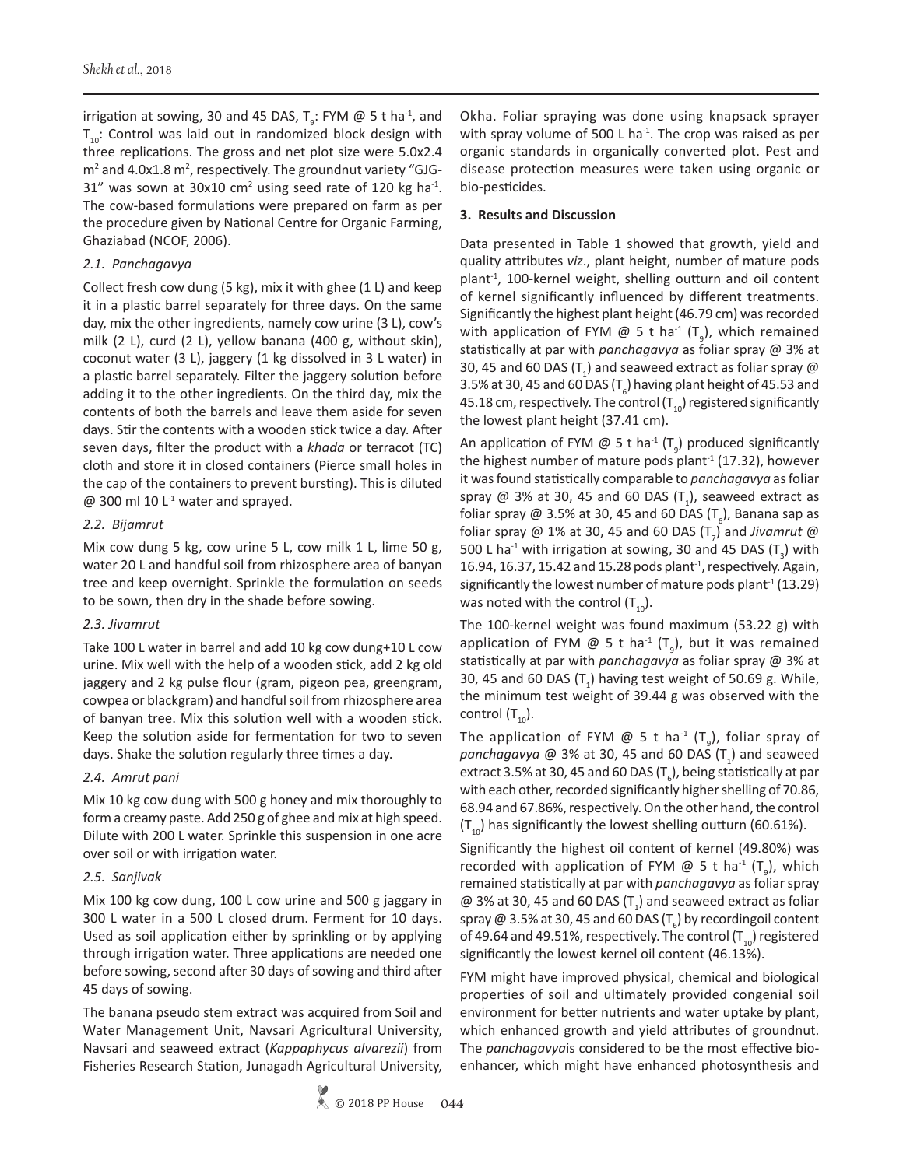irrigation at sowing, 30 and 45 DAS,  $T_g$ : FYM @ 5 t ha<sup>-1</sup>, and  $T_{10}$ : Control was laid out in randomized block design with three replications. The gross and net plot size were 5.0x2.4 m<sup>2</sup> and 4.0x1.8 m<sup>2</sup>, respectively. The groundnut variety "GJG-31" was sown at  $30x10$  cm<sup>2</sup> using seed rate of 120 kg ha<sup>-1</sup>. The cow-based formulations were prepared on farm as per the procedure given by National Centre for Organic Farming, Ghaziabad (NCOF, 2006).

# *2.1. Panchagavya*

Collect fresh cow dung (5 kg), mix it with ghee (1 L) and keep it in a plastic barrel separately for three days. On the same day, mix the other ingredients, namely cow urine (3 L), cow's milk (2 L), curd (2 L), yellow banana (400 g, without skin), coconut water (3 L), jaggery (1 kg dissolved in 3 L water) in a plastic barrel separately. Filter the jaggery solution before adding it to the other ingredients. On the third day, mix the contents of both the barrels and leave them aside for seven days. Stir the contents with a wooden stick twice a day. After seven days, filter the product with a *khada* or terracot (TC) cloth and store it in closed containers (Pierce small holes in the cap of the containers to prevent bursting). This is diluted  $@$  300 ml 10 L<sup>-1</sup> water and sprayed.

# *2.2. Bijamrut*

Mix cow dung 5 kg, cow urine 5 L, cow milk 1 L, lime 50 g, water 20 L and handful soil from rhizosphere area of banyan tree and keep overnight. Sprinkle the formulation on seeds to be sown, then dry in the shade before sowing.

# *2.3. Jivamrut*

Take 100 L water in barrel and add 10 kg cow dung+10 L cow urine. Mix well with the help of a wooden stick, add 2 kg old jaggery and 2 kg pulse flour (gram, pigeon pea, greengram, cowpea or blackgram) and handful soil from rhizosphere area of banyan tree. Mix this solution well with a wooden stick. Keep the solution aside for fermentation for two to seven days. Shake the solution regularly three times a day.

# *2.4. Amrut pani*

Mix 10 kg cow dung with 500 g honey and mix thoroughly to form a creamy paste. Add 250 g of ghee and mix at high speed. Dilute with 200 L water. Sprinkle this suspension in one acre over soil or with irrigation water.

# *2.5. Sanjivak*

Mix 100 kg cow dung, 100 L cow urine and 500 g jaggary in 300 L water in a 500 L closed drum. Ferment for 10 days. Used as soil application either by sprinkling or by applying through irrigation water. Three applications are needed one before sowing, second after 30 days of sowing and third after 45 days of sowing.

The banana pseudo stem extract was acquired from Soil and Water Management Unit, Navsari Agricultural University, Navsari and seaweed extract (*Kappaphycus alvarezii*) from Fisheries Research Station, Junagadh Agricultural University, Okha. Foliar spraying was done using knapsack sprayer with spray volume of 500 L ha $^{-1}$ . The crop was raised as per organic standards in organically converted plot. Pest and disease protection measures were taken using organic or bio-pesticides.

#### **3. Results and Discussion**

Data presented in Table 1 showed that growth, yield and quality attributes *viz*., plant height, number of mature pods plant-1, 100-kernel weight, shelling outturn and oil content of kernel significantly influenced by different treatments. Significantly the highest plant height (46.79 cm) was recorded with application of FYM @ 5 t ha<sup>-1</sup> (T<sub>9</sub>), which remained statistically at par with *panchagavya* as foliar spray @ 3% at 30, 45 and 60 DAS (T<sub>1</sub>) and seaweed extract as foliar spray @ 3.5% at 30, 45 and 60 DAS (T $_{\rm 6}$ ) having plant height of 45.53 and 45.18 cm, respectively. The control  $(T_{10})$  registered significantly the lowest plant height (37.41 cm).

An application of FYM @ 5 t ha<sup>-1</sup> (T<sub>9</sub>) produced significantly the highest number of mature pods plant<sup>-1</sup> (17.32), however it was found statistically comparable to *panchagavya* as foliar spray @ 3% at 30, 45 and 60 DAS  $(T_1)$ , seaweed extract as foliar spray @ 3.5% at 30, 45 and 60 DAS (T<sub>6</sub>), Banana sap as foliar spray @ 1% at 30, 45 and 60 DAS  $(T<sub>7</sub>)$  and *Jivamrut* @ 500 L ha<sup>-1</sup> with irrigation at sowing, 30 and 45 DAS (T<sub>3</sub>) with 16.94, 16.37, 15.42 and 15.28 pods plant<sup>-1</sup>, respectively. Again, significantly the lowest number of mature pods plant $1$  (13.29) was noted with the control  $(T_{10})$ .

The 100-kernel weight was found maximum (53.22 g) with application of FYM  $\textcircled{a}$  5 t ha<sup>-1</sup> (T<sub>9</sub>), but it was remained statistically at par with *panchagavya* as foliar spray @ 3% at 30, 45 and 60 DAS  $(T_1)$  having test weight of 50.69 g. While, the minimum test weight of 39.44 g was observed with the control  $(T_{10})$ .

The application of FYM  $\varnothing$  5 t ha<sup>-1</sup> (T<sub>9</sub>), foliar spray of panchagavya @ 3% at 30, 45 and 60 DAS (T<sub>1</sub>) and seaweed extract 3.5% at 30, 45 and 60 DAS (T<sub>6</sub>), being statistically at par with each other, recorded significantly higher shelling of 70.86, 68.94 and 67.86%, respectively. On the other hand, the control  $(T_{10})$  has significantly the lowest shelling outturn (60.61%).

Significantly the highest oil content of kernel (49.80%) was recorded with application of FYM  $\omega$  5 t ha<sup>-1</sup> (T<sub>9</sub>), which remained statistically at par with *panchagavya* as foliar spray  $\textcircled{a}$  3% at 30, 45 and 60 DAS (T<sub>1</sub>) and seaweed extract as foliar spray @ 3.5% at 30, 45 and 60 DAS (T<sub>6</sub>) by recordingoil content of 49.64 and 49.51%, respectively. The control  $(T_{10})$  registered significantly the lowest kernel oil content (46.13%).

FYM might have improved physical, chemical and biological properties of soil and ultimately provided congenial soil environment for better nutrients and water uptake by plant, which enhanced growth and yield attributes of groundnut. The *panchagavya*is considered to be the most effective bioenhancer, which might have enhanced photosynthesis and